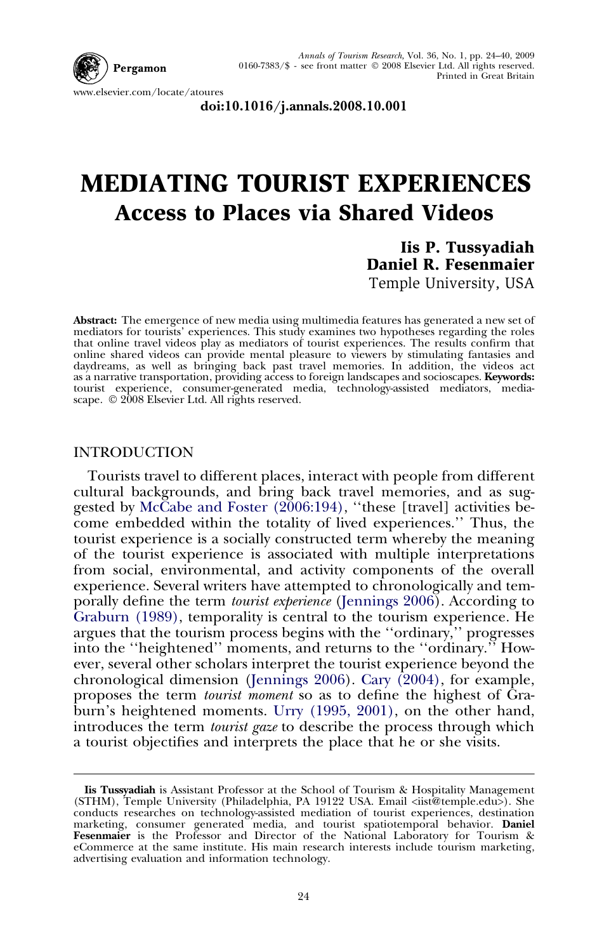

doi:10.1016/j.annals.2008.10.001

# MEDIATING TOURIST EXPERIENCES Access to Places via Shared Videos

Iis P. Tussyadiah Daniel R. Fesenmaier Temple University, USA

Abstract: The emergence of new media using multimedia features has generated a new set of mediators for tourists' experiences. This study examines two hypotheses regarding the roles that online travel videos play as mediators of tourist experiences. The results confirm that online shared videos can provide mental pleasure to viewers by stimulating fantasies and daydreams, as well as bringing back past travel memories. In addition, the videos act as a narrative transportation, providing access to foreign landscapes and socioscapes. **Keywords:**<br>tourist \_experience, \_consumer-generated \_media, \_technology-assisted \_mediators, \_mediascape. © 2008 Elsevier Ltd. All rights reserved.

# INTRODUCTION

Tourists travel to different places, interact with people from different cultural backgrounds, and bring back travel memories, and as suggested by [McCabe and Foster \(2006:194\),](#page-15-0) ''these [travel] activities become embedded within the totality of lived experiences.'' Thus, the tourist experience is a socially constructed term whereby the meaning of the tourist experience is associated with multiple interpretations from social, environmental, and activity components of the overall experience. Several writers have attempted to chronologically and temporally define the term tourist experience [\(Jennings 2006\)](#page-14-0). According to [Graburn \(1989\)](#page-14-0), temporality is central to the tourism experience. He argues that the tourism process begins with the ''ordinary,'' progresses into the ''heightened'' moments, and returns to the ''ordinary.'' However, several other scholars interpret the tourist experience beyond the chronological dimension ([Jennings 2006\)](#page-14-0). [Cary \(2004\)](#page-14-0), for example, proposes the term tourist moment so as to define the highest of Graburn's heightened moments. [Urry \(1995, 2001\)](#page-15-0), on the other hand, introduces the term tourist gaze to describe the process through which a tourist objectifies and interprets the place that he or she visits.

Iis Tussyadiah is Assistant Professor at the School of Tourism & Hospitality Management (STHM), Temple University (Philadelphia, PA 19122 USA. Email <iist@temple.edu>). She conducts researches on technology-assisted mediation of tourist experiences, destination<br>marketing, consumer generated media, and tourist spatiotemporal behavior. **Daniel**<br>**Fesenmaier** is the Professor and Director of the eCommerce at the same institute. His main research interests include tourism marketing, advertising evaluation and information technology.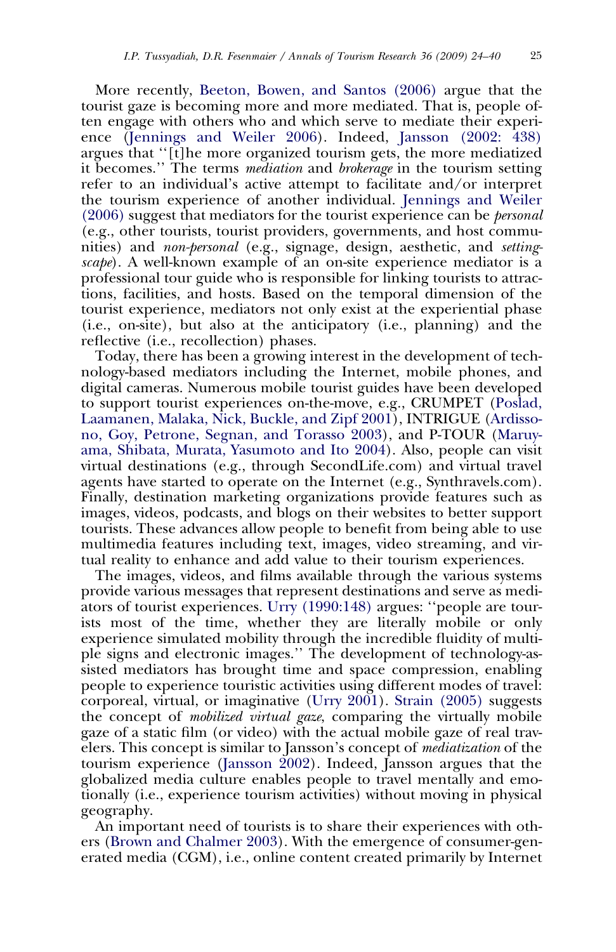More recently, [Beeton, Bowen, and Santos \(2006\)](#page-14-0) argue that the tourist gaze is becoming more and more mediated. That is, people often engage with others who and which serve to mediate their experience [\(Jennings and Weiler 2006\)](#page-15-0). Indeed, [Jansson \(2002: 438\)](#page-14-0) argues that ''[t]he more organized tourism gets, the more mediatized it becomes.'' The terms mediation and brokerage in the tourism setting refer to an individual's active attempt to facilitate and/or interpret the tourism experience of another individual. [Jennings and Weiler](#page-15-0) [\(2006\)](#page-15-0) suggest that mediators for the tourist experience can be *personal* (e.g., other tourists, tourist providers, governments, and host communities) and non-personal (e.g., signage, design, aesthetic, and settingscape). A well-known example of an on-site experience mediator is a professional tour guide who is responsible for linking tourists to attractions, facilities, and hosts. Based on the temporal dimension of the tourist experience, mediators not only exist at the experiential phase (i.e., on-site), but also at the anticipatory (i.e., planning) and the reflective (i.e., recollection) phases.

Today, there has been a growing interest in the development of technology-based mediators including the Internet, mobile phones, and digital cameras. Numerous mobile tourist guides have been developed to support tourist experiences on-the-move, e.g., CRUMPET ([Poslad,](#page-15-0) [Laamanen, Malaka, Nick, Buckle, and Zipf 2001\)](#page-15-0), INTRIGUE [\(Ardisso](#page-14-0)[no, Goy, Petrone, Segnan, and Torasso 2003](#page-14-0)), and P-TOUR [\(Maruy](#page-15-0)[ama, Shibata, Murata, Yasumoto and Ito 2004\)](#page-15-0). Also, people can visit virtual destinations (e.g., through SecondLife.com) and virtual travel agents have started to operate on the Internet (e.g., Synthravels.com). Finally, destination marketing organizations provide features such as images, videos, podcasts, and blogs on their websites to better support tourists. These advances allow people to benefit from being able to use multimedia features including text, images, video streaming, and virtual reality to enhance and add value to their tourism experiences.

The images, videos, and films available through the various systems provide various messages that represent destinations and serve as mediators of tourist experiences. [Urry \(1990:148\)](#page-15-0) argues: ''people are tourists most of the time, whether they are literally mobile or only experience simulated mobility through the incredible fluidity of multiple signs and electronic images.'' The development of technology-assisted mediators has brought time and space compression, enabling people to experience touristic activities using different modes of travel: corporeal, virtual, or imaginative [\(Urry 2001\)](#page-15-0). [Strain \(2005\)](#page-15-0) suggests the concept of *mobilized virtual gaze*, comparing the virtually mobile gaze of a static film (or video) with the actual mobile gaze of real travelers. This concept is similar to Jansson's concept of mediatization of the tourism experience [\(Jansson 2002](#page-14-0)). Indeed, Jansson argues that the globalized media culture enables people to travel mentally and emotionally (i.e., experience tourism activities) without moving in physical geography.

An important need of tourists is to share their experiences with others [\(Brown and Chalmer 2003](#page-14-0)). With the emergence of consumer-generated media (CGM), i.e., online content created primarily by Internet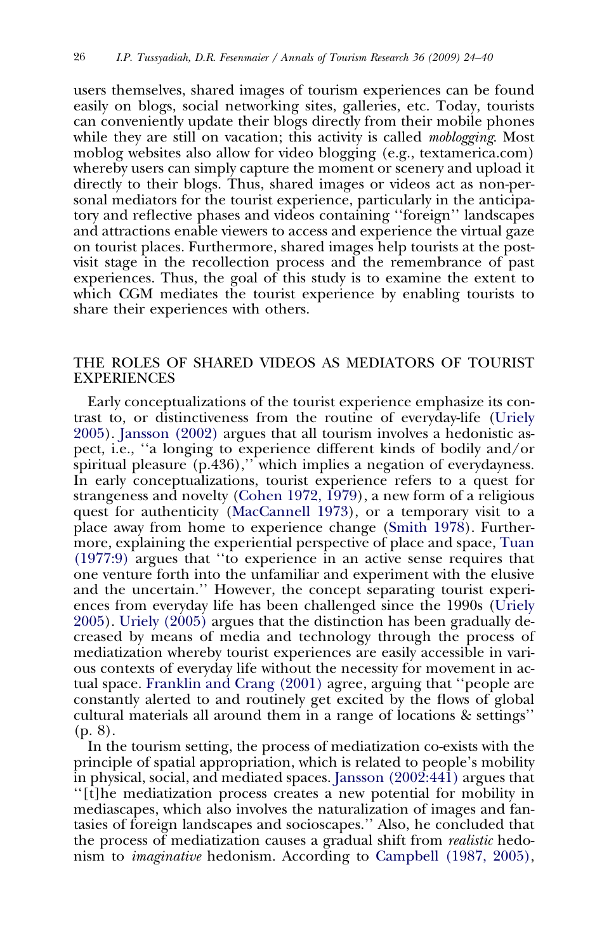users themselves, shared images of tourism experiences can be found easily on blogs, social networking sites, galleries, etc. Today, tourists can conveniently update their blogs directly from their mobile phones while they are still on vacation; this activity is called *moblogging*. Most moblog websites also allow for video blogging (e.g., textamerica.com) whereby users can simply capture the moment or scenery and upload it directly to their blogs. Thus, shared images or videos act as non-personal mediators for the tourist experience, particularly in the anticipatory and reflective phases and videos containing ''foreign'' landscapes and attractions enable viewers to access and experience the virtual gaze on tourist places. Furthermore, shared images help tourists at the postvisit stage in the recollection process and the remembrance of past experiences. Thus, the goal of this study is to examine the extent to which CGM mediates the tourist experience by enabling tourists to share their experiences with others.

# THE ROLES OF SHARED VIDEOS AS MEDIATORS OF TOURIST EXPERIENCES

Early conceptualizations of the tourist experience emphasize its contrast to, or distinctiveness from the routine of everyday-life [\(Uriely](#page-15-0) [2005](#page-15-0)). [Jansson \(2002\)](#page-14-0) argues that all tourism involves a hedonistic aspect, i.e., ''a longing to experience different kinds of bodily and/or spiritual pleasure (p.436)," which implies a negation of everydayness. In early conceptualizations, tourist experience refers to a quest for strangeness and novelty [\(Cohen 1972, 1979](#page-14-0)), a new form of a religious quest for authenticity [\(MacCannell 1973\)](#page-15-0), or a temporary visit to a place away from home to experience change [\(Smith 1978](#page-15-0)). Furthermore, explaining the experiential perspective of place and space, [Tuan](#page-15-0) [\(1977:9\)](#page-15-0) argues that ''to experience in an active sense requires that one venture forth into the unfamiliar and experiment with the elusive and the uncertain.'' However, the concept separating tourist experiences from everyday life has been challenged since the 1990s [\(Uriely](#page-15-0) [2005](#page-15-0)). [Uriely \(2005\)](#page-15-0) argues that the distinction has been gradually decreased by means of media and technology through the process of mediatization whereby tourist experiences are easily accessible in various contexts of everyday life without the necessity for movement in actual space. [Franklin and Crang \(2001\)](#page-14-0) agree, arguing that ''people are constantly alerted to and routinely get excited by the flows of global cultural materials all around them in a range of locations & settings'' (p. 8).

In the tourism setting, the process of mediatization co-exists with the principle of spatial appropriation, which is related to people's mobility in physical, social, and mediated spaces. [Jansson \(2002:441\)](#page-14-0) argues that ''[t]he mediatization process creates a new potential for mobility in mediascapes, which also involves the naturalization of images and fantasies of foreign landscapes and socioscapes.'' Also, he concluded that the process of mediatization causes a gradual shift from realistic hedonism to imaginative hedonism. According to [Campbell \(1987, 2005\)](#page-14-0),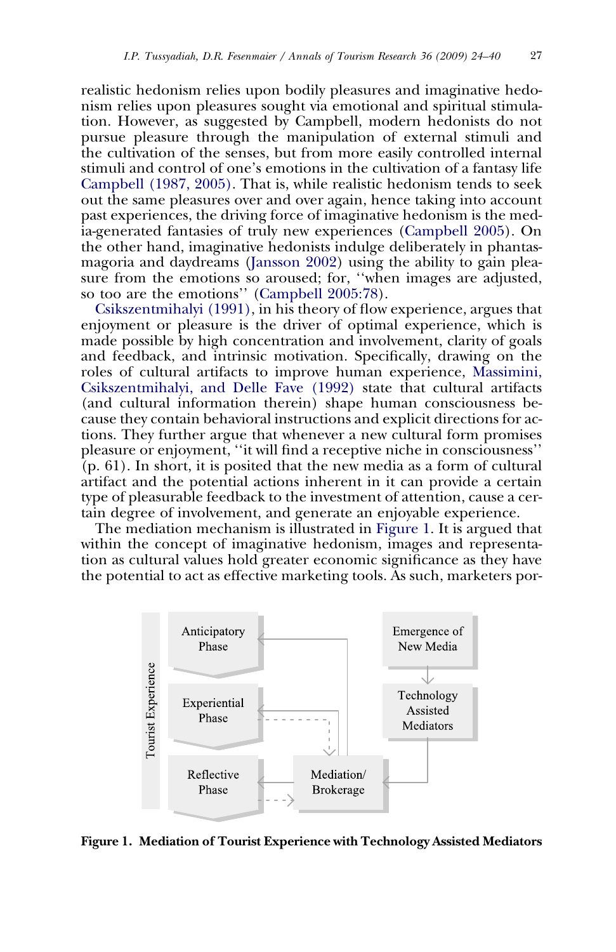realistic hedonism relies upon bodily pleasures and imaginative hedonism relies upon pleasures sought via emotional and spiritual stimulation. However, as suggested by Campbell, modern hedonists do not pursue pleasure through the manipulation of external stimuli and the cultivation of the senses, but from more easily controlled internal stimuli and control of one's emotions in the cultivation of a fantasy life [Campbell \(1987, 2005\)](#page-14-0). That is, while realistic hedonism tends to seek out the same pleasures over and over again, hence taking into account past experiences, the driving force of imaginative hedonism is the media-generated fantasies of truly new experiences [\(Campbell 2005](#page-14-0)). On the other hand, imaginative hedonists indulge deliberately in phantasmagoria and daydreams ([Jansson 2002\)](#page-14-0) using the ability to gain pleasure from the emotions so aroused; for, ''when images are adjusted, so too are the emotions'' ([Campbell 2005:78\)](#page-14-0).

[Csikszentmihalyi \(1991\),](#page-14-0) in his theory of flow experience, argues that enjoyment or pleasure is the driver of optimal experience, which is made possible by high concentration and involvement, clarity of goals and feedback, and intrinsic motivation. Specifically, drawing on the roles of cultural artifacts to improve human experience, [Massimini,](#page-15-0) [Csikszentmihalyi, and Delle Fave \(1992\)](#page-15-0) state that cultural artifacts (and cultural information therein) shape human consciousness because they contain behavioral instructions and explicit directions for actions. They further argue that whenever a new cultural form promises pleasure or enjoyment, ''it will find a receptive niche in consciousness''  $(p. 61)$ . In short, it is posited that the new media as a form of cultural artifact and the potential actions inherent in it can provide a certain type of pleasurable feedback to the investment of attention, cause a certain degree of involvement, and generate an enjoyable experience.

The mediation mechanism is illustrated in Figure 1. It is argued that within the concept of imaginative hedonism, images and representation as cultural values hold greater economic significance as they have the potential to act as effective marketing tools. As such, marketers por-



Figure 1. Mediation of Tourist Experience with Technology Assisted Mediators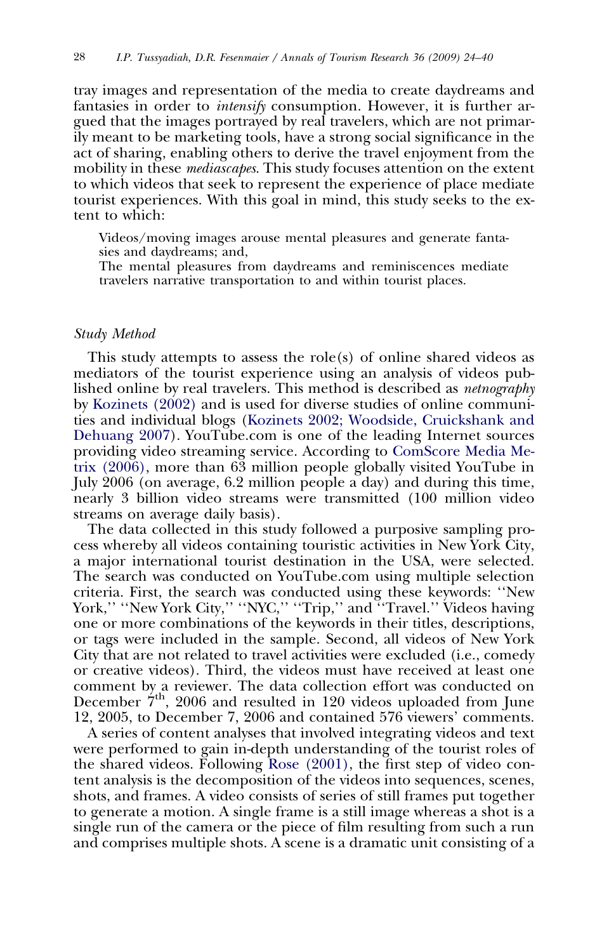tray images and representation of the media to create daydreams and fantasies in order to intensify consumption. However, it is further argued that the images portrayed by real travelers, which are not primarily meant to be marketing tools, have a strong social significance in the act of sharing, enabling others to derive the travel enjoyment from the mobility in these *mediascapes*. This study focuses attention on the extent to which videos that seek to represent the experience of place mediate tourist experiences. With this goal in mind, this study seeks to the extent to which:

Videos/moving images arouse mental pleasures and generate fantasies and daydreams; and,

The mental pleasures from daydreams and reminiscences mediate travelers narrative transportation to and within tourist places.

#### Study Method

This study attempts to assess the role(s) of online shared videos as mediators of the tourist experience using an analysis of videos published online by real travelers. This method is described as netnography by [Kozinets \(2002\)](#page-15-0) and is used for diverse studies of online communities and individual blogs [\(Kozinets 2002; Woodside, Cruickshank and](#page-15-0) [Dehuang 2007](#page-15-0)). YouTube.com is one of the leading Internet sources providing video streaming service. According to [ComScore Media Me](#page-14-0)[trix \(2006\),](#page-14-0) more than 63 million people globally visited YouTube in July 2006 (on average, 6.2 million people a day) and during this time, nearly 3 billion video streams were transmitted (100 million video streams on average daily basis).

The data collected in this study followed a purposive sampling process whereby all videos containing touristic activities in New York City, a major international tourist destination in the USA, were selected. The search was conducted on YouTube.com using multiple selection criteria. First, the search was conducted using these keywords: ''New York," "New York City," "NYC," "Trip," and "Travel." Videos having one or more combinations of the keywords in their titles, descriptions, or tags were included in the sample. Second, all videos of New York City that are not related to travel activities were excluded (i.e., comedy or creative videos). Third, the videos must have received at least one comment by a reviewer. The data collection effort was conducted on December  $\acute{7}^{\text{th}}$ , 2006 and resulted in 120 videos uploaded from June 12, 2005, to December 7, 2006 and contained 576 viewers' comments.

A series of content analyses that involved integrating videos and text were performed to gain in-depth understanding of the tourist roles of the shared videos. Following [Rose \(2001\)](#page-15-0), the first step of video content analysis is the decomposition of the videos into sequences, scenes, shots, and frames. A video consists of series of still frames put together to generate a motion. A single frame is a still image whereas a shot is a single run of the camera or the piece of film resulting from such a run and comprises multiple shots. A scene is a dramatic unit consisting of a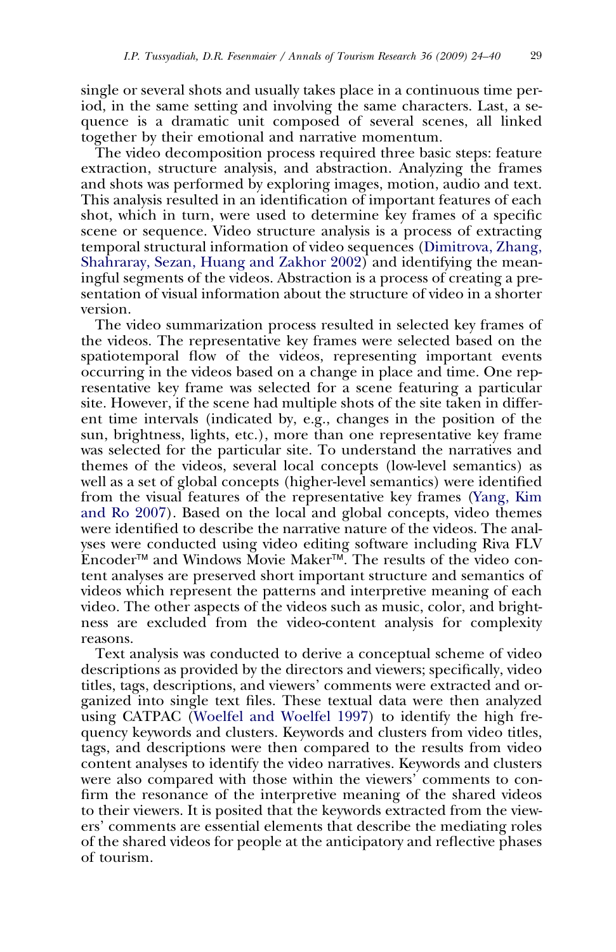single or several shots and usually takes place in a continuous time period, in the same setting and involving the same characters. Last, a sequence is a dramatic unit composed of several scenes, all linked together by their emotional and narrative momentum.

The video decomposition process required three basic steps: feature extraction, structure analysis, and abstraction. Analyzing the frames and shots was performed by exploring images, motion, audio and text. This analysis resulted in an identification of important features of each shot, which in turn, were used to determine key frames of a specific scene or sequence. Video structure analysis is a process of extracting temporal structural information of video sequences ([Dimitrova, Zhang,](#page-14-0) [Shahraray, Sezan, Huang and Zakhor 2002](#page-14-0)) and identifying the meaningful segments of the videos. Abstraction is a process of creating a presentation of visual information about the structure of video in a shorter version.

The video summarization process resulted in selected key frames of the videos. The representative key frames were selected based on the spatiotemporal flow of the videos, representing important events occurring in the videos based on a change in place and time. One representative key frame was selected for a scene featuring a particular site. However, if the scene had multiple shots of the site taken in different time intervals (indicated by, e.g., changes in the position of the sun, brightness, lights, etc.), more than one representative key frame was selected for the particular site. To understand the narratives and themes of the videos, several local concepts (low-level semantics) as well as a set of global concepts (higher-level semantics) were identified from the visual features of the representative key frames ([Yang, Kim](#page-15-0) [and Ro 2007](#page-15-0)). Based on the local and global concepts, video themes were identified to describe the narrative nature of the videos. The analyses were conducted using video editing software including Riva FLV Encoder™ and Windows Movie Maker™. The results of the video content analyses are preserved short important structure and semantics of videos which represent the patterns and interpretive meaning of each video. The other aspects of the videos such as music, color, and brightness are excluded from the video-content analysis for complexity reasons.

Text analysis was conducted to derive a conceptual scheme of video descriptions as provided by the directors and viewers; specifically, video titles, tags, descriptions, and viewers' comments were extracted and organized into single text files. These textual data were then analyzed using CATPAC [\(Woelfel and Woelfel 1997\)](#page-15-0) to identify the high frequency keywords and clusters. Keywords and clusters from video titles, tags, and descriptions were then compared to the results from video content analyses to identify the video narratives. Keywords and clusters were also compared with those within the viewers' comments to confirm the resonance of the interpretive meaning of the shared videos to their viewers. It is posited that the keywords extracted from the viewers' comments are essential elements that describe the mediating roles of the shared videos for people at the anticipatory and reflective phases of tourism.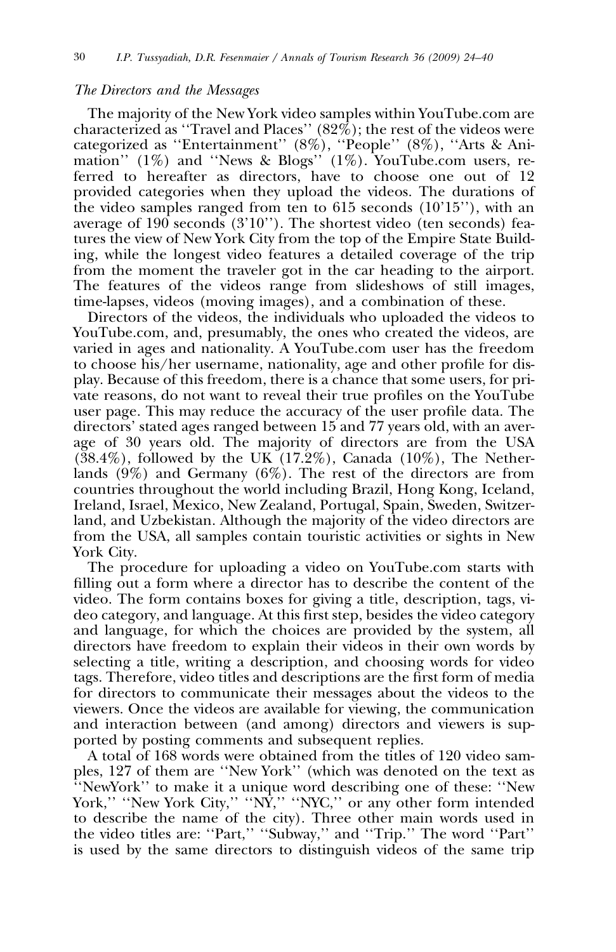#### The Directors and the Messages

The majority of the New York video samples within YouTube.com are characterized as "Travel and Places"  $(82\%)$ ; the rest of the videos were categorized as ''Entertainment'' (8%), ''People'' (8%), ''Arts & Animation"  $(1\%)$  and "News & Blogs"  $(1\%)$ . YouTube.com users, referred to hereafter as directors, have to choose one out of 12 provided categories when they upload the videos. The durations of the video samples ranged from ten to  $615$  seconds  $(10'15'')$ , with an average of  $190$  seconds  $(3'10'')$ . The shortest video (ten seconds) features the view of New York City from the top of the Empire State Building, while the longest video features a detailed coverage of the trip from the moment the traveler got in the car heading to the airport. The features of the videos range from slideshows of still images, time-lapses, videos (moving images), and a combination of these.

Directors of the videos, the individuals who uploaded the videos to YouTube.com, and, presumably, the ones who created the videos, are varied in ages and nationality. A YouTube.com user has the freedom to choose his/her username, nationality, age and other profile for display. Because of this freedom, there is a chance that some users, for private reasons, do not want to reveal their true profiles on the YouTube user page. This may reduce the accuracy of the user profile data. The directors' stated ages ranged between 15 and 77 years old, with an average of 30 years old. The majority of directors are from the USA  $(38.4\%)$ , followed by the UK  $(17.2\%)$ , Canada  $(10\%)$ , The Netherlands  $(9\%)$  and Germany  $(6\%)$ . The rest of the directors are from countries throughout the world including Brazil, Hong Kong, Iceland, Ireland, Israel, Mexico, New Zealand, Portugal, Spain, Sweden, Switzerland, and Uzbekistan. Although the majority of the video directors are from the USA, all samples contain touristic activities or sights in New York City.

The procedure for uploading a video on YouTube.com starts with filling out a form where a director has to describe the content of the video. The form contains boxes for giving a title, description, tags, video category, and language. At this first step, besides the video category and language, for which the choices are provided by the system, all directors have freedom to explain their videos in their own words by selecting a title, writing a description, and choosing words for video tags. Therefore, video titles and descriptions are the first form of media for directors to communicate their messages about the videos to the viewers. Once the videos are available for viewing, the communication and interaction between (and among) directors and viewers is supported by posting comments and subsequent replies.

A total of 168 words were obtained from the titles of 120 video samples, 127 of them are ''New York'' (which was denoted on the text as ''NewYork'' to make it a unique word describing one of these: ''New York," "New York City," "NY," "NYC," or any other form intended to describe the name of the city). Three other main words used in the video titles are: ''Part,'' ''Subway,'' and ''Trip.'' The word ''Part'' is used by the same directors to distinguish videos of the same trip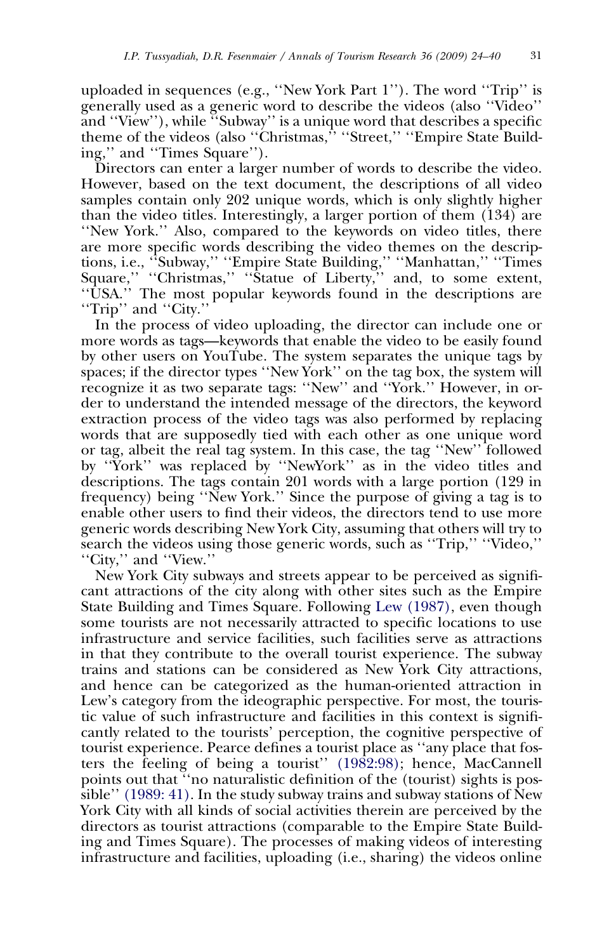uploaded in sequences (e.g., ''New York Part 1''). The word ''Trip'' is generally used as a generic word to describe the videos (also ''Video'' and ''View''), while ''Subway'' is a unique word that describes a specific theme of the videos (also ''Christmas,'' ''Street,'' ''Empire State Building,'' and ''Times Square'').

Directors can enter a larger number of words to describe the video. However, based on the text document, the descriptions of all video samples contain only 202 unique words, which is only slightly higher than the video titles. Interestingly, a larger portion of them (134) are ''New York.'' Also, compared to the keywords on video titles, there are more specific words describing the video themes on the descriptions, i.e., ''Subway,'' ''Empire State Building,'' ''Manhattan,'' ''Times Square,'' ''Christmas,'' ''Statue of Liberty,'' and, to some extent, "USA." The most popular keywords found in the descriptions are ''Trip'' and ''City.''

In the process of video uploading, the director can include one or more words as tags—keywords that enable the video to be easily found by other users on YouTube. The system separates the unique tags by spaces; if the director types ''New York'' on the tag box, the system will recognize it as two separate tags: ''New'' and ''York.'' However, in order to understand the intended message of the directors, the keyword extraction process of the video tags was also performed by replacing words that are supposedly tied with each other as one unique word or tag, albeit the real tag system. In this case, the tag ''New'' followed by ''York'' was replaced by ''NewYork'' as in the video titles and descriptions. The tags contain 201 words with a large portion (129 in frequency) being ''New York.'' Since the purpose of giving a tag is to enable other users to find their videos, the directors tend to use more generic words describing New York City, assuming that others will try to search the videos using those generic words, such as ''Trip,'' ''Video,'' ''City,'' and ''View.''

New York City subways and streets appear to be perceived as significant attractions of the city along with other sites such as the Empire State Building and Times Square. Following [Lew \(1987\),](#page-15-0) even though some tourists are not necessarily attracted to specific locations to use infrastructure and service facilities, such facilities serve as attractions in that they contribute to the overall tourist experience. The subway trains and stations can be considered as New York City attractions, and hence can be categorized as the human-oriented attraction in Lew's category from the ideographic perspective. For most, the touristic value of such infrastructure and facilities in this context is significantly related to the tourists' perception, the cognitive perspective of tourist experience. Pearce defines a tourist place as ''any place that fosters the feeling of being a tourist'' [\(1982:98\);](#page-15-0) hence, MacCannell points out that ''no naturalistic definition of the (tourist) sights is possible'' [\(1989: 41\)](#page-15-0). In the study subway trains and subway stations of New York City with all kinds of social activities therein are perceived by the directors as tourist attractions (comparable to the Empire State Building and Times Square). The processes of making videos of interesting infrastructure and facilities, uploading (i.e., sharing) the videos online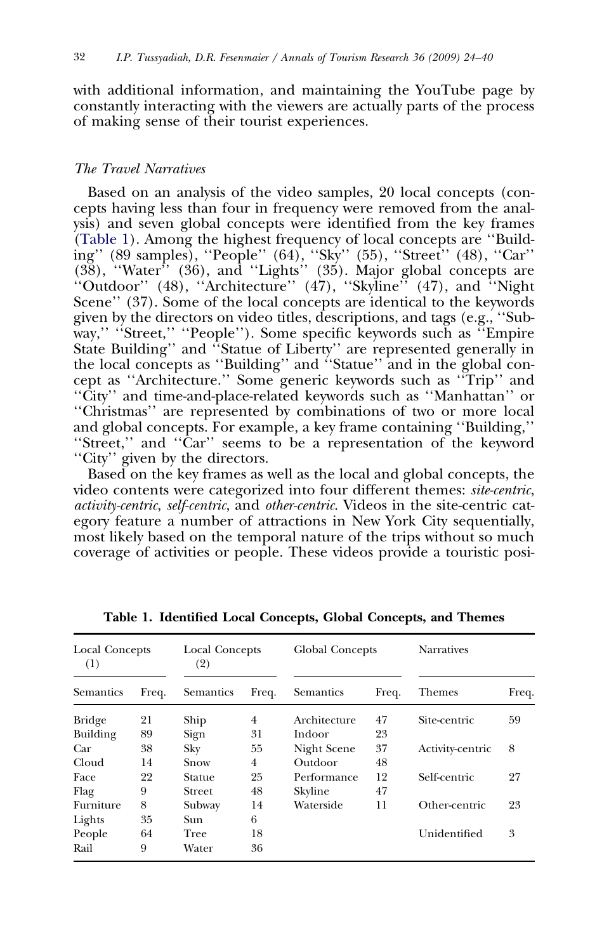with additional information, and maintaining the YouTube page by constantly interacting with the viewers are actually parts of the process of making sense of their tourist experiences.

### The Travel Narratives

Based on an analysis of the video samples, 20 local concepts (concepts having less than four in frequency were removed from the analysis) and seven global concepts were identified from the key frames (Table 1). Among the highest frequency of local concepts are ''Building'' (89 samples), ''People'' (64), ''Sky'' (55), ''Street'' (48), ''Car'' (38), ''Water'' (36), and ''Lights'' (35). Major global concepts are "Outdoor"  $(48)$ , "Architecture"  $(47)$ , "Skyline"  $(47)$ , and "Night" Scene'' (37). Some of the local concepts are identical to the keywords given by the directors on video titles, descriptions, and tags (e.g., ''Subway,'' ''Street,'' ''People''). Some specific keywords such as ''Empire State Building" and "Statue of Liberty" are represented generally in the local concepts as "Building" and "Statue" and in the global concept as ''Architecture.'' Some generic keywords such as ''Trip'' and ''City'' and time-and-place-related keywords such as ''Manhattan'' or ''Christmas'' are represented by combinations of two or more local and global concepts. For example, a key frame containing ''Building,'' "Street," and "Car" seems to be a representation of the keyword ''City'' given by the directors.

Based on the key frames as well as the local and global concepts, the video contents were categorized into four different themes: site-centric, activity-centric, self-centric, and other-centric. Videos in the site-centric category feature a number of attractions in New York City sequentially, most likely based on the temporal nature of the trips without so much coverage of activities or people. These videos provide a touristic posi-

| Local Concepts<br>(1) |       | Local Concepts<br>(2) |                | Global Concepts |       | <b>Narratives</b> |       |
|-----------------------|-------|-----------------------|----------------|-----------------|-------|-------------------|-------|
| Semantics             | Freq. | Semantics             | Freq.          | Semantics       | Freq. | Themes            | Freq. |
| <b>Bridge</b>         | 21    | Ship                  | $\overline{4}$ | Architecture    | 47    | Site-centric      | 59    |
| Building              | 89    | Sign                  | 31             | Indoor          | 23    |                   |       |
| Car                   | 38    | Sky                   | 55             | Night Scene     | 37    | Activity-centric  | 8     |
| Cloud                 | 14    | Snow                  | $\overline{4}$ | Outdoor         | 48    |                   |       |
| Face                  | 22    | Statue                | 25             | Performance     | 12    | Self-centric      | 27    |
| Flag                  | 9     | Street                | 48             | Skyline         | 47    |                   |       |
| Furniture             | 8     | Subway                | 14             | Waterside       | 11    | Other-centric     | 23    |
| Lights                | 35    | Sun                   | 6              |                 |       |                   |       |
| People                | 64    | Tree                  | 18             |                 |       | Unidentified      | 3     |
| Rail                  | 9     | Water                 | 36             |                 |       |                   |       |

Table 1. Identified Local Concepts, Global Concepts, and Themes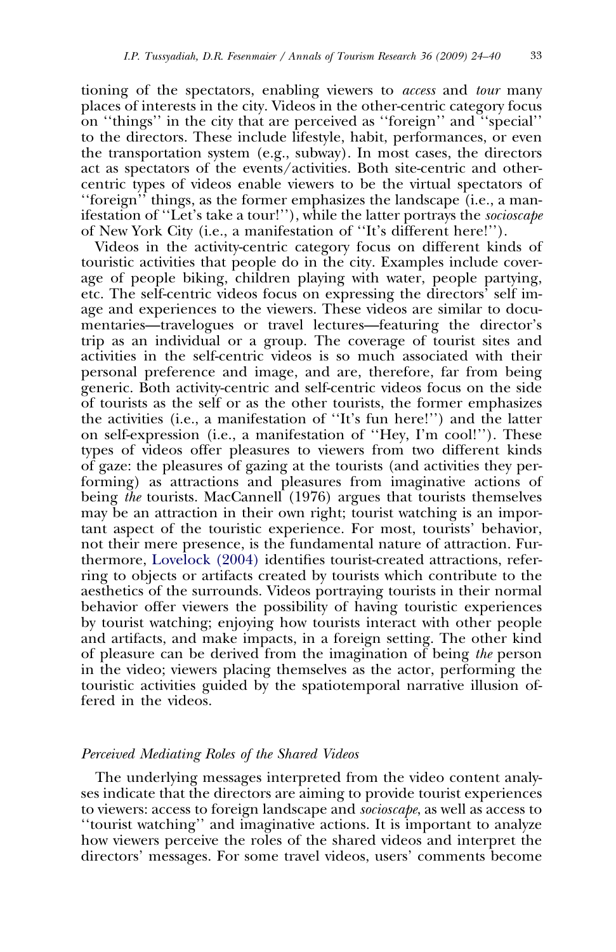tioning of the spectators, enabling viewers to access and tour many places of interests in the city. Videos in the other-centric category focus on ''things'' in the city that are perceived as ''foreign'' and ''special'' to the directors. These include lifestyle, habit, performances, or even the transportation system (e.g., subway). In most cases, the directors act as spectators of the events/activities. Both site-centric and othercentric types of videos enable viewers to be the virtual spectators of ''foreign'' things, as the former emphasizes the landscape (i.e., a manifestation of ''Let's take a tour!''), while the latter portrays the socioscape of New York City (i.e., a manifestation of ''It's different here!'').

Videos in the activity-centric category focus on different kinds of touristic activities that people do in the city. Examples include coverage of people biking, children playing with water, people partying, etc. The self-centric videos focus on expressing the directors' self image and experiences to the viewers. These videos are similar to documentaries—travelogues or travel lectures—featuring the director's trip as an individual or a group. The coverage of tourist sites and activities in the self-centric videos is so much associated with their personal preference and image, and are, therefore, far from being generic. Both activity-centric and self-centric videos focus on the side of tourists as the self or as the other tourists, the former emphasizes the activities (i.e., a manifestation of ''It's fun here!'') and the latter on self-expression (i.e., a manifestation of ''Hey, I'm cool!''). These types of videos offer pleasures to viewers from two different kinds of gaze: the pleasures of gazing at the tourists (and activities they performing) as attractions and pleasures from imaginative actions of being *the* tourists. MacCannell (1976) argues that tourists themselves may be an attraction in their own right; tourist watching is an important aspect of the touristic experience. For most, tourists' behavior, not their mere presence, is the fundamental nature of attraction. Furthermore, [Lovelock \(2004\)](#page-15-0) identifies tourist-created attractions, referring to objects or artifacts created by tourists which contribute to the aesthetics of the surrounds. Videos portraying tourists in their normal behavior offer viewers the possibility of having touristic experiences by tourist watching; enjoying how tourists interact with other people and artifacts, and make impacts, in a foreign setting. The other kind of pleasure can be derived from the imagination of being the person in the video; viewers placing themselves as the actor, performing the touristic activities guided by the spatiotemporal narrative illusion offered in the videos.

#### Perceived Mediating Roles of the Shared Videos

The underlying messages interpreted from the video content analyses indicate that the directors are aiming to provide tourist experiences to viewers: access to foreign landscape and socioscape, as well as access to ''tourist watching'' and imaginative actions. It is important to analyze how viewers perceive the roles of the shared videos and interpret the directors' messages. For some travel videos, users' comments become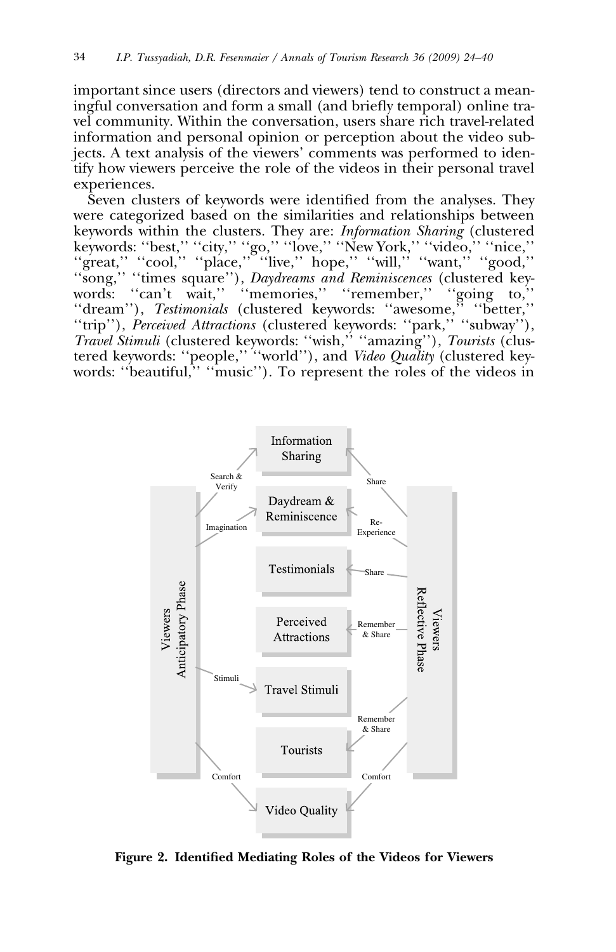<span id="page-10-0"></span>important since users (directors and viewers) tend to construct a meaningful conversation and form a small (and briefly temporal) online travel community. Within the conversation, users share rich travel-related information and personal opinion or perception about the video subjects. A text analysis of the viewers' comments was performed to identify how viewers perceive the role of the videos in their personal travel experiences.

Seven clusters of keywords were identified from the analyses. They were categorized based on the similarities and relationships between keywords within the clusters. They are: *Information Sharing* (clustered keywords: "best," "city," "go," "love," "New York," "video," "nice," keywords: ''best,'' ''city,'' ''go,'' ''love,'' ''New York,'' ''video,'' ''nice,'' ''great,'' ''cool,'' ''place,'' ''live,'' hope,'' ''will,'' ''want,'' ''good,'' "Song," "times square"), Daydreams and Reminiscences (clustered key-<br>words: "can't wait," "memories," "remember," "going to," "memories," "remember," "going to,"<br>(clustered keywords: "awesome," "better," "dream"), Testimonials (clustered keywords: "awesome, ''trip''), Perceived Attractions (clustered keywords: ''park,'' ''subway''), Travel Stimuli (clustered keywords: ''wish,'' ''amazing''), Tourists (clustered keywords: "people," "world"), and Video Quality (clustered keywords: "beautiful," "music"). To represent the roles of the videos in



Figure 2. Identified Mediating Roles of the Videos for Viewers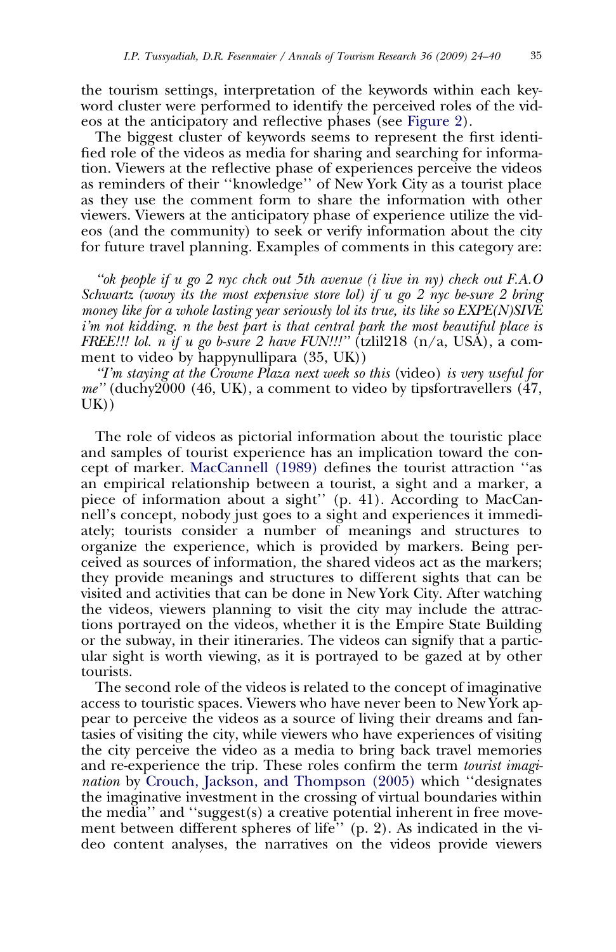the tourism settings, interpretation of the keywords within each keyword cluster were performed to identify the perceived roles of the videos at the anticipatory and reflective phases (see [Figure 2\)](#page-10-0).

The biggest cluster of keywords seems to represent the first identified role of the videos as media for sharing and searching for information. Viewers at the reflective phase of experiences perceive the videos as reminders of their ''knowledge'' of New York City as a tourist place as they use the comment form to share the information with other viewers. Viewers at the anticipatory phase of experience utilize the videos (and the community) to seek or verify information about the city for future travel planning. Examples of comments in this category are:

"ok people if u go 2 nyc chck out 5th avenue (i live in ny) check out  $F.A.O$ Schwartz (wowy its the most expensive store lol) if u go 2 nyc be-sure 2 bring money like for a whole lasting year seriously lol its true, its like so  $EXPE(N)SNE$ i'm not kidding. n the best part is that central park the most beautiful place is FREE!!! lol. n if u go b-sure 2 have FUN!!!" (tzlil218  $(n/a, USA)$ , a comment to video by happynullipara (35, UK))

"I'm staying at the Crowne Plaza next week so this (video) is very useful for  $me''$  (duchy2000 (46, UK), a comment to video by tipsfortravellers (47,  $UK)$ )

The role of videos as pictorial information about the touristic place and samples of tourist experience has an implication toward the concept of marker. [MacCannell \(1989\)](#page-15-0) defines the tourist attraction ''as an empirical relationship between a tourist, a sight and a marker, a piece of information about a sight'' (p. 41). According to MacCannell's concept, nobody just goes to a sight and experiences it immediately; tourists consider a number of meanings and structures to organize the experience, which is provided by markers. Being perceived as sources of information, the shared videos act as the markers; they provide meanings and structures to different sights that can be visited and activities that can be done in New York City. After watching the videos, viewers planning to visit the city may include the attractions portrayed on the videos, whether it is the Empire State Building or the subway, in their itineraries. The videos can signify that a particular sight is worth viewing, as it is portrayed to be gazed at by other tourists.

The second role of the videos is related to the concept of imaginative access to touristic spaces. Viewers who have never been to New York appear to perceive the videos as a source of living their dreams and fantasies of visiting the city, while viewers who have experiences of visiting the city perceive the video as a media to bring back travel memories and re-experience the trip. These roles confirm the term tourist imagination by [Crouch, Jackson, and Thompson \(2005\)](#page-14-0) which ''designates the imaginative investment in the crossing of virtual boundaries within the media'' and ''suggest(s) a creative potential inherent in free movement between different spheres of life'' (p. 2). As indicated in the video content analyses, the narratives on the videos provide viewers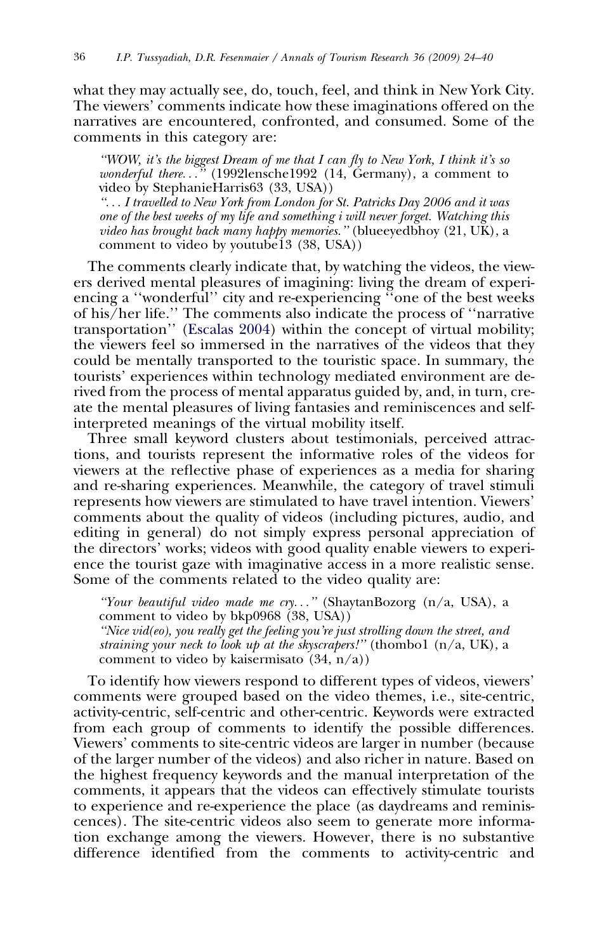what they may actually see, do, touch, feel, and think in New York City. The viewers' comments indicate how these imaginations offered on the narratives are encountered, confronted, and consumed. Some of the comments in this category are:

''WOW, it's the biggest Dream of me that I can fly to New York, I think it's so wonderful there..." (1992lensche1992 (14, Germany), a comment to video by StephanieHarris63 (33, USA))

''... I travelled to New York from London for St. Patricks Day 2006 and it was one of the best weeks of my life and something i will never forget. Watching this video has brought back many happy memories.'' (blueeyedbhoy (21, UK), a comment to video by youtube13 (38, USA))

The comments clearly indicate that, by watching the videos, the viewers derived mental pleasures of imagining: living the dream of experiencing a ''wonderful'' city and re-experiencing ''one of the best weeks of his/her life.'' The comments also indicate the process of ''narrative transportation'' ([Escalas 2004](#page-14-0)) within the concept of virtual mobility; the viewers feel so immersed in the narratives of the videos that they could be mentally transported to the touristic space. In summary, the tourists' experiences within technology mediated environment are derived from the process of mental apparatus guided by, and, in turn, create the mental pleasures of living fantasies and reminiscences and selfinterpreted meanings of the virtual mobility itself.

Three small keyword clusters about testimonials, perceived attractions, and tourists represent the informative roles of the videos for viewers at the reflective phase of experiences as a media for sharing and re-sharing experiences. Meanwhile, the category of travel stimuli represents how viewers are stimulated to have travel intention. Viewers' comments about the quality of videos (including pictures, audio, and editing in general) do not simply express personal appreciation of the directors' works; videos with good quality enable viewers to experience the tourist gaze with imaginative access in a more realistic sense. Some of the comments related to the video quality are:

"Your beautiful video made me cry..." (ShaytanBozorg  $(n/a, USA)$ , a comment to video by bkp0968 (38, USA)) ''Nice vid(eo), you really get the feeling you're just strolling down the street, and straining your neck to look up at the skyscrapers!" (thombo1  $(n/a, UK)$ , a comment to video by kaisermisato (34, n/a))

To identify how viewers respond to different types of videos, viewers' comments were grouped based on the video themes, i.e., site-centric, activity-centric, self-centric and other-centric. Keywords were extracted from each group of comments to identify the possible differences. Viewers' comments to site-centric videos are larger in number (because of the larger number of the videos) and also richer in nature. Based on the highest frequency keywords and the manual interpretation of the comments, it appears that the videos can effectively stimulate tourists to experience and re-experience the place (as daydreams and reminiscences). The site-centric videos also seem to generate more information exchange among the viewers. However, there is no substantive difference identified from the comments to activity-centric and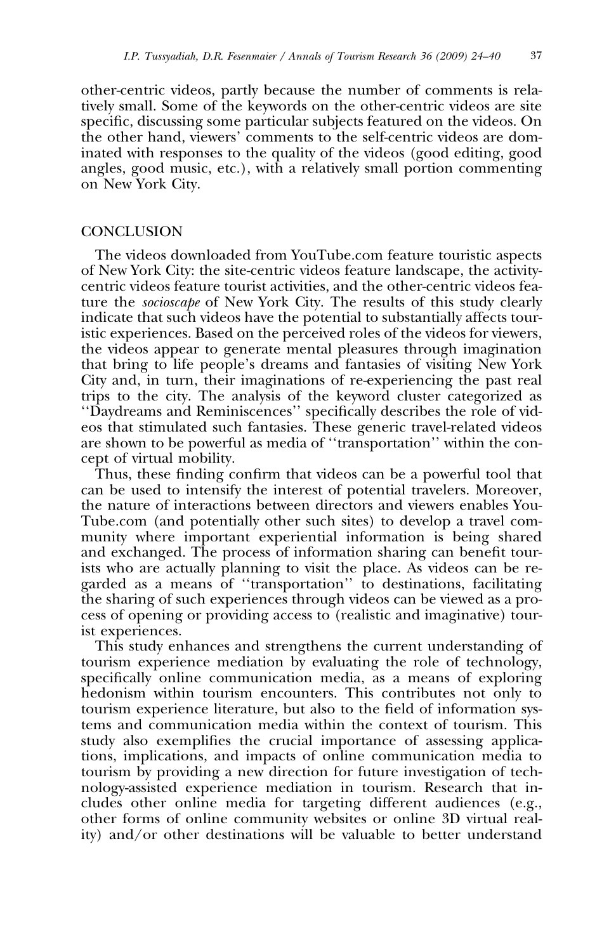other-centric videos, partly because the number of comments is relatively small. Some of the keywords on the other-centric videos are site specific, discussing some particular subjects featured on the videos. On the other hand, viewers' comments to the self-centric videos are dominated with responses to the quality of the videos (good editing, good angles, good music, etc.), with a relatively small portion commenting on New York City.

# **CONCLUSION**

The videos downloaded from YouTube.com feature touristic aspects of New York City: the site-centric videos feature landscape, the activitycentric videos feature tourist activities, and the other-centric videos feature the socioscape of New York City. The results of this study clearly indicate that such videos have the potential to substantially affects touristic experiences. Based on the perceived roles of the videos for viewers, the videos appear to generate mental pleasures through imagination that bring to life people's dreams and fantasies of visiting New York City and, in turn, their imaginations of re-experiencing the past real trips to the city. The analysis of the keyword cluster categorized as ''Daydreams and Reminiscences'' specifically describes the role of videos that stimulated such fantasies. These generic travel-related videos are shown to be powerful as media of ''transportation'' within the concept of virtual mobility.

Thus, these finding confirm that videos can be a powerful tool that can be used to intensify the interest of potential travelers. Moreover, the nature of interactions between directors and viewers enables You-Tube.com (and potentially other such sites) to develop a travel community where important experiential information is being shared and exchanged. The process of information sharing can benefit tourists who are actually planning to visit the place. As videos can be regarded as a means of ''transportation'' to destinations, facilitating the sharing of such experiences through videos can be viewed as a process of opening or providing access to (realistic and imaginative) tourist experiences.

This study enhances and strengthens the current understanding of tourism experience mediation by evaluating the role of technology, specifically online communication media, as a means of exploring hedonism within tourism encounters. This contributes not only to tourism experience literature, but also to the field of information systems and communication media within the context of tourism. This study also exemplifies the crucial importance of assessing applications, implications, and impacts of online communication media to tourism by providing a new direction for future investigation of technology-assisted experience mediation in tourism. Research that includes other online media for targeting different audiences (e.g., other forms of online community websites or online 3D virtual reality) and/or other destinations will be valuable to better understand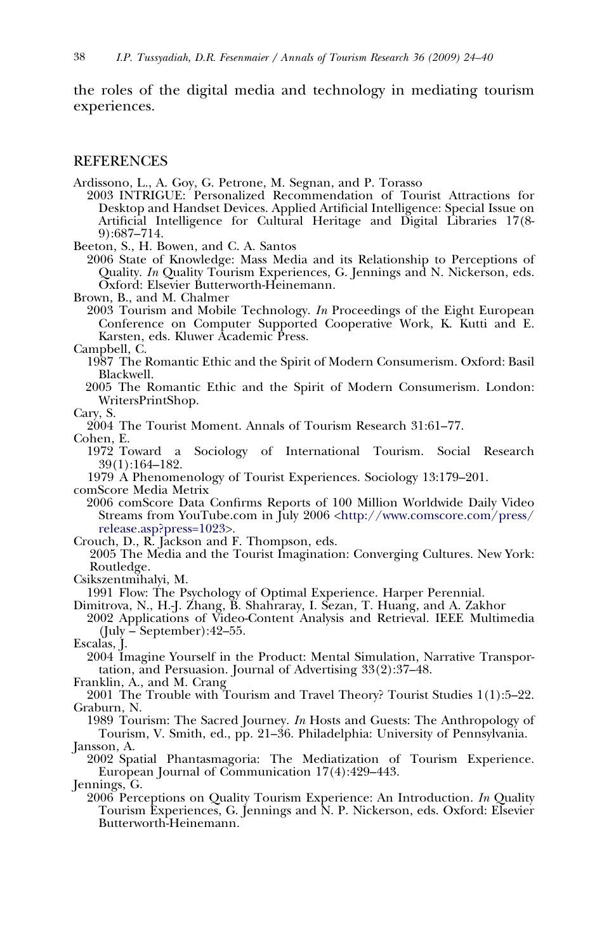<span id="page-14-0"></span>the roles of the digital media and technology in mediating tourism experiences.

#### **REFERENCES**

Ardissono, L., A. Goy, G. Petrone, M. Segnan, and P. Torasso

2003 INTRIGUE: Personalized Recommendation of Tourist Attractions for Desktop and Handset Devices. Applied Artificial Intelligence: Special Issue on Artificial Intelligence for Cultural Heritage and Digital Libraries 17(8- 9):687–714.

Beeton, S., H. Bowen, and C. A. Santos

2006 State of Knowledge: Mass Media and its Relationship to Perceptions of Quality. In Quality Tourism Experiences, G. Jennings and N. Nickerson, eds. Oxford: Elsevier Butterworth-Heinemann.

Brown, B., and M. Chalmer

2003 Tourism and Mobile Technology. In Proceedings of the Eight European Conference on Computer Supported Cooperative Work, K. Kutti and E. Karsten, eds. Kluwer Âcademic Press.<br>Campbell, C.

1987 The Romantic Ethic and the Spirit of Modern Consumerism. Oxford: Basil Blackwell.

2005 The Romantic Ethic and the Spirit of Modern Consumerism. London: WritersPrintShop.

Cary, S. 2004 The Tourist Moment. Annals of Tourism Research 31:61–77.

Cohen, E.

1972 Toward a Sociology of International Tourism. Social Research 39(1):164–182.

1979 A Phenomenology of Tourist Experiences. Sociology 13:179–201. comScore Media Metrix

2006 comScore Data Confirms Reports of 100 Million Worldwide Daily Video Streams from YouTube.com in July 2006 <[http://www.comscore.com/press/](http://www.comscore.com/press/release.asp?press=1023) [release.asp?press=1023>](http://www.comscore.com/press/release.asp?press=1023).

Crouch, D., R. Jackson and F. Thompson, eds.

2005 The Media and the Tourist Imagination: Converging Cultures. New York: Routledge.

Csikszentmihalyi, M.

1991 Flow: The Psychology of Optimal Experience. Harper Perennial.

Dimitrova, N., H.-J. Zhang, B. Shahraray, I. Sezan, T. Huang, and A. Zakhor 2002 Applications of Video-Content Analysis and Retrieval. IEEE Multimedia  $(Iuly - September): 42-55.$ 

Escalas, J.

2004 Imagine Yourself in the Product: Mental Simulation, Narrative Transportation, and Persuasion. Journal of Advertising 33(2):37–48.

Franklin, A., and M. Crang

2001 The Trouble with Tourism and Travel Theory? Tourist Studies 1(1):5–22. Graburn, N.

1989 Tourism: The Sacred Journey. In Hosts and Guests: The Anthropology of Tourism, V. Smith, ed., pp. 21–36. Philadelphia: University of Pennsylvania. Jansson, A.

2002 Spatial Phantasmagoria: The Mediatization of Tourism Experience. European Journal of Communication 17(4):429–443.

Jennings, G.

2006 Perceptions on Quality Tourism Experience: An Introduction. In Quality Tourism Experiences, G. Jennings and N. P. Nickerson, eds. Oxford: Elsevier Butterworth-Heinemann.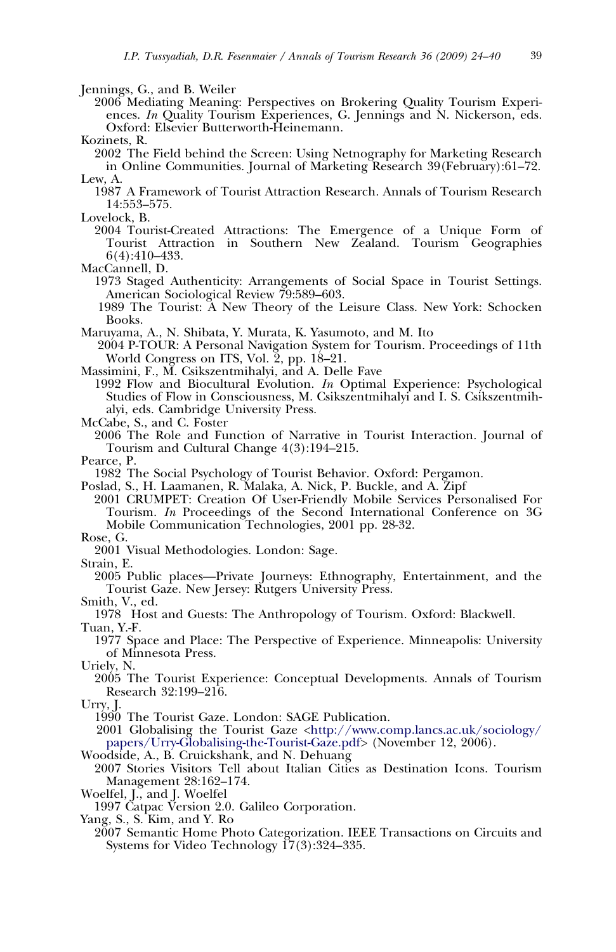<span id="page-15-0"></span>Jennings, G., and B. Weiler

2006 Mediating Meaning: Perspectives on Brokering Quality Tourism Experiences. In Quality Tourism Experiences, G. Jennings and N. Nickerson, eds. Oxford: Elsevier Butterworth-Heinemann.

Kozinets, R.

2002 The Field behind the Screen: Using Netnography for Marketing Research in Online Communities. Journal of Marketing Research 39(February):61–72. Lew, A.

1987 A Framework of Tourist Attraction Research. Annals of Tourism Research 14:553–575.

Lovelock, B.

2004 Tourist-Created Attractions: The Emergence of a Unique Form of Tourist Attraction in Southern New Zealand. Tourism Geographies 6(4):410–433.

MacCannell, D.

1973 Staged Authenticity: Arrangements of Social Space in Tourist Settings. American Sociological Review 79:589–603.

1989 The Tourist: A New Theory of the Leisure Class. New York: Schocken Books.

Maruyama, A., N. Shibata, Y. Murata, K. Yasumoto, and M. Ito

2004 P-TOUR: A Personal Navigation System for Tourism. Proceedings of 11th World Congress on ITS, Vol. 2, pp. 18–21.

Massimini, F., M. Csikszentmihalyi, and A. Delle Fave

1992 Flow and Biocultural Evolution. In Optimal Experience: Psychological Studies of Flow in Consciousness, M. Csikszentmihalyi and I. S. Csikszentmihalyi, eds. Cambridge University Press.

McCabe, S., and C. Foster

2006 The Role and Function of Narrative in Tourist Interaction. Journal of Tourism and Cultural Change 4(3):194–215.

Pearce, P.

1982 The Social Psychology of Tourist Behavior. Oxford: Pergamon.

Poslad, S., H. Laamanen, R. Malaka, A. Nick, P. Buckle, and A. Zipf

2001 CRUMPET: Creation Of User-Friendly Mobile Services Personalised For Tourism. In Proceedings of the Second International Conference on 3G Mobile Communication Technologies, 2001 pp. 28-32.

Rose, G.

2001 Visual Methodologies. London: Sage.

Strain, E.

2005 Public places—Private Journeys: Ethnography, Entertainment, and the Tourist Gaze. New Jersey: Rutgers University Press.

Smith, V., ed.

1978 Host and Guests: The Anthropology of Tourism. Oxford: Blackwell. Tuan, Y.-F.

1977 Space and Place: The Perspective of Experience. Minneapolis: University of Minnesota Press.

Uriely, N.

2005 The Tourist Experience: Conceptual Developments. Annals of Tourism Research 32:199–216.

Urry, J.

1990 The Tourist Gaze. London: SAGE Publication.

2001 Globalising the Tourist Gaze [<http://www.comp.lancs.ac.uk/sociology/](http://www.comp.lancs.ac.uk/sociology/papers/Urry-Globalising-the-Tourist-Gaze.pdf) [papers/Urry-Globalising-the-Tourist-Gaze.pdf](http://www.comp.lancs.ac.uk/sociology/papers/Urry-Globalising-the-Tourist-Gaze.pdf)> (November 12, 2006).

2007 Stories Visitors Tell about Italian Cities as Destination Icons. Tourism Management 28:162–174.

Woelfel, J., and J. Woelfel

1997 Catpac Version 2.0. Galileo Corporation.

Yang, S., S. Kim, and Y. Ro 2007 Semantic Home Photo Categorization. IEEE Transactions on Circuits and Systems for Video Technology 17(3):324–335.